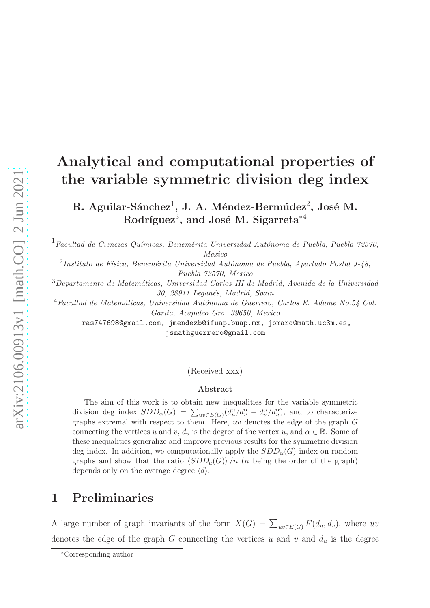# Analytical and computational properties of the variable symmetric division deg index

 $R.$  Aguilar-Sánchez<sup>1</sup>, J. A. Méndez-Bermúdez<sup>2</sup>, José M.  ${\rm Rodriguez}^3,$  and José M. Sigarreta $^{*4}$ 

 $1$ Facultad de Ciencias Químicas, Benemérita Universidad Autónoma de Puebla, Puebla 72570, Mexico

 $^{2}$ Instituto de Física, Benemérita Universidad Autónoma de Puebla, Apartado Postal J- $48$ , Puebla 72570, Mexico

 $3$ Departamento de Matemáticas, Universidad Carlos III de Madrid, Avenida de la Universidad 30, 28911 Leganés, Madrid, Spain

 $4$ Facultad de Matemáticas, Universidad Autónoma de Guerrero, Carlos E. Adame No.54 Col. Garita, Acapulco Gro. 39650, Mexico

ras747698@gmail.com, jmendezb@ifuap.buap.mx, jomaro@math.uc3m.es, jsmathguerrero@gmail.com

(Received xxx)

#### Abstract

The aim of this work is to obtain new inequalities for the variable symmetric division deg index  $SDD_{\alpha}(G) = \sum_{uv \in E(G)} (d_u^{\alpha}/d_v^{\alpha} + d_v^{\alpha}/d_u^{\alpha})$ , and to characterize graphs extremal with respect to them. Here, uv denotes the edge of the graph  $G$ connecting the vertices u and v,  $d_u$  is the degree of the vertex u, and  $\alpha \in \mathbb{R}$ . Some of these inequalities generalize and improve previous results for the symmetric division deg index. In addition, we computationally apply the  $SDD_{\alpha}(G)$  index on random graphs and show that the ratio  $\langle SDD_a(G)\rangle/n$  (n being the order of the graph) depends only on the average degree  $\langle d \rangle$ .

### 1 Preliminaries

A large number of graph invariants of the form  $X(G) = \sum_{uv \in E(G)} F(d_u, d_v)$ , where uv denotes the edge of the graph G connecting the vertices u and v and  $d_u$  is the degree

<sup>∗</sup>Corresponding author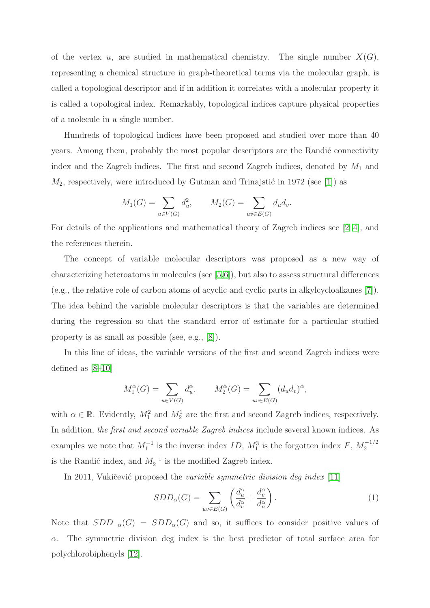of the vertex u, are studied in mathematical chemistry. The single number  $X(G)$ , representing a chemical structure in graph-theoretical terms via the molecular graph, is called a topological descriptor and if in addition it correlates with a molecular property it is called a topological index. Remarkably, topological indices capture physical properties of a molecule in a single number.

Hundreds of topological indices have been proposed and studied over more than 40 years. Among them, probably the most popular descriptors are the Randić connectivity index and the Zagreb indices. The first and second Zagreb indices, denoted by  $M_1$  and  $M_2$ , respectively, were introduced by Gutman and Trinajstić in 1972 (see [\[1\]](#page-14-0)) as

$$
M_1(G) = \sum_{u \in V(G)} d_u^2
$$
,  $M_2(G) = \sum_{uv \in E(G)} d_u d_v$ .

For details of the applications and mathematical theory of Zagreb indices see [\[2–](#page-14-1)[4\]](#page-14-2), and the references therein.

The concept of variable molecular descriptors was proposed as a new way of characterizing heteroatoms in molecules (see [\[5,](#page-14-3)[6\]](#page-14-4)), but also to assess structural differences (e.g., the relative role of carbon atoms of acyclic and cyclic parts in alkylcycloalkanes [\[7\]](#page-14-5)). The idea behind the variable molecular descriptors is that the variables are determined during the regression so that the standard error of estimate for a particular studied property is as small as possible (see, e.g., [\[8\]](#page-14-6)).

In this line of ideas, the variable versions of the first and second Zagreb indices were defined as [\[8–](#page-14-6)[10\]](#page-14-7)

$$
M_1^{\alpha}(G) = \sum_{u \in V(G)} d_u^{\alpha}, \qquad M_2^{\alpha}(G) = \sum_{uv \in E(G)} (d_u d_v)^{\alpha},
$$

with  $\alpha \in \mathbb{R}$ . Evidently,  $M_1^2$  and  $M_2^1$  are the first and second Zagreb indices, respectively. In addition, the first and second variable Zagreb indices include several known indices. As examples we note that  $M_1^{-1}$  is the inverse index  $ID$ ,  $M_1^3$  is the forgotten index  $F$ ,  $M_2^{-1/2}$ 2 is the Randić index, and  $M_2^{-1}$  is the modified Zagreb index.

In 2011, Vukičević proposed the variable symmetric division deg index [\[11\]](#page-14-8)

<span id="page-1-0"></span>
$$
SDD_{\alpha}(G) = \sum_{uv \in E(G)} \left( \frac{d_u^{\alpha}}{d_v^{\alpha}} + \frac{d_v^{\alpha}}{d_u^{\alpha}} \right). \tag{1}
$$

Note that  $SDD_{-\alpha}(G) = SDD_{\alpha}(G)$  and so, it suffices to consider positive values of  $\alpha$ . The symmetric division deg index is the best predictor of total surface area for polychlorobiphenyls [\[12\]](#page-14-9).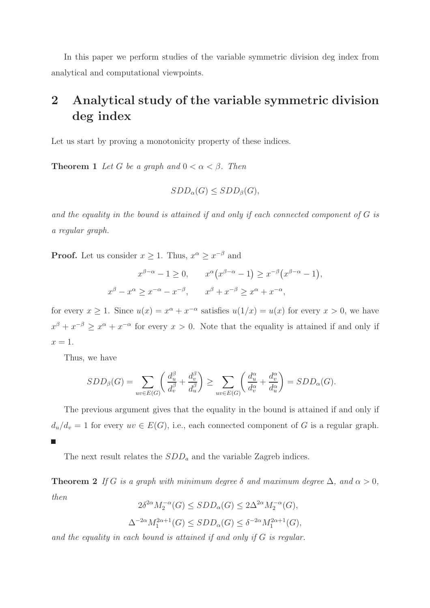In this paper we perform studies of the variable symmetric division deg index from analytical and computational viewpoints.

## 2 Analytical study of the variable symmetric division deg index

<span id="page-2-0"></span>Let us start by proving a monotonicity property of these indices.

**Theorem 1** Let G be a graph and  $0 < \alpha < \beta$ . Then

$$
SDD_{\alpha}(G) \leq SDD_{\beta}(G),
$$

and the equality in the bound is attained if and only if each connected component of G is a regular graph.

**Proof.** Let us consider  $x \geq 1$ . Thus,  $x^{\alpha} \geq x^{-\beta}$  and

$$
x^{\beta-\alpha} - 1 \ge 0, \qquad x^{\alpha} (x^{\beta-\alpha} - 1) \ge x^{-\beta} (x^{\beta-\alpha} - 1),
$$
  

$$
x^{\beta} - x^{\alpha} \ge x^{-\alpha} - x^{-\beta}, \qquad x^{\beta} + x^{-\beta} \ge x^{\alpha} + x^{-\alpha},
$$

for every  $x \ge 1$ . Since  $u(x) = x^{\alpha} + x^{-\alpha}$  satisfies  $u(1/x) = u(x)$  for every  $x > 0$ , we have  $x^{\beta} + x^{-\beta} \geq x^{\alpha} + x^{-\alpha}$  for every  $x > 0$ . Note that the equality is attained if and only if  $x=1$ .

Thus, we have

$$
SDD_{\beta}(G) = \sum_{uv \in E(G)} \left( \frac{d_u^{\beta}}{d_v^{\beta}} + \frac{d_v^{\beta}}{d_u^{\beta}} \right) \ge \sum_{uv \in E(G)} \left( \frac{d_u^{\alpha}}{d_v^{\alpha}} + \frac{d_v^{\alpha}}{d_u^{\alpha}} \right) = SDD_{\alpha}(G).
$$

The previous argument gives that the equality in the bound is attained if and only if  $d_u/d_v = 1$  for every  $uv \in E(G)$ , i.e., each connected component of G is a regular graph.

The next result relates the  $SDD<sub>a</sub>$  and the variable Zagreb indices.

**Theorem 2** If G is a graph with minimum degree  $\delta$  and maximum degree  $\Delta$ , and  $\alpha > 0$ , then

$$
2\delta^{2\alpha}M_2^{-\alpha}(G) \leq SDD_{\alpha}(G) \leq 2\Delta^{2\alpha}M_2^{-\alpha}(G),
$$
  

$$
\Delta^{-2\alpha}M_1^{2\alpha+1}(G) \leq SDD_{\alpha}(G) \leq \delta^{-2\alpha}M_1^{2\alpha+1}(G),
$$

and the equality in each bound is attained if and only if G is regular.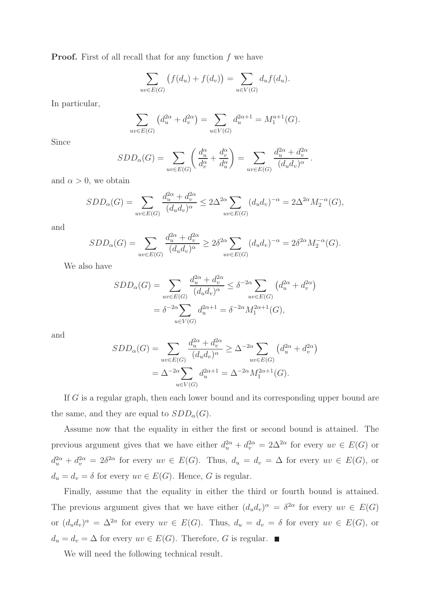**Proof.** First of all recall that for any function  $f$  we have

$$
\sum_{uv \in E(G)} \left( f(d_u) + f(d_v) \right) = \sum_{u \in V(G)} d_u f(d_u).
$$

In particular,

$$
\sum_{uv \in E(G)} \left( d_u^{2\alpha} + d_v^{2\alpha} \right) = \sum_{u \in V(G)} d_u^{2\alpha + 1} = M_1^{a+1}(G).
$$

Since

$$
SDD_{\alpha}(G) = \sum_{uv \in E(G)} \left( \frac{d_u^{\alpha}}{d_v^{\alpha}} + \frac{d_v^{\alpha}}{d_u^{\alpha}} \right) = \sum_{uv \in E(G)} \frac{d_u^{2\alpha} + d_v^{2\alpha}}{(d_u d_v)^{\alpha}}.
$$

and  $\alpha > 0$ , we obtain

$$
SDD_{\alpha}(G) = \sum_{uv \in E(G)} \frac{d_u^{2\alpha} + d_v^{2\alpha}}{(d_u d_v)^{\alpha}} \le 2\Delta^{2\alpha} \sum_{uv \in E(G)} (d_u d_v)^{-\alpha} = 2\Delta^{2\alpha} M_2^{-\alpha}(G),
$$

and

$$
SDD_{\alpha}(G) = \sum_{uv \in E(G)} \frac{d_u^{2\alpha} + d_v^{2\alpha}}{(d_u d_v)^{\alpha}} \ge 2\delta^{2\alpha} \sum_{uv \in E(G)} (d_u d_v)^{-\alpha} = 2\delta^{2\alpha} M_2^{-\alpha}(G).
$$

We also have

$$
SDD_{\alpha}(G) = \sum_{uv \in E(G)} \frac{d_u^{2\alpha} + d_v^{2\alpha}}{(d_u d_v)^{\alpha}} \leq \delta^{-2\alpha} \sum_{uv \in E(G)} (d_u^{2\alpha} + d_v^{2\alpha})
$$
  
=  $\delta^{-2\alpha} \sum_{u \in V(G)} d_u^{2\alpha+1} = \delta^{-2\alpha} M_1^{2\alpha+1}(G),$ 

and

$$
SDD_{\alpha}(G) = \sum_{uv \in E(G)} \frac{d_u^{2\alpha} + d_v^{2\alpha}}{(d_u d_v)^{\alpha}} \ge \Delta^{-2\alpha} \sum_{uv \in E(G)} (d_u^{2\alpha} + d_v^{2\alpha})
$$
  
=  $\Delta^{-2\alpha} \sum_{u \in V(G)} d_u^{2\alpha+1} = \Delta^{-2\alpha} M_1^{2\alpha+1}(G).$ 

If G is a regular graph, then each lower bound and its corresponding upper bound are the same, and they are equal to  $SDD_{\alpha}(G)$ .

Assume now that the equality in either the first or second bound is attained. The previous argument gives that we have either  $d_u^{2\alpha} + d_v^{2\alpha} = 2\Delta^{2\alpha}$  for every  $uv \in E(G)$  or  $d_u^{2\alpha} + d_v^{2\alpha} = 2\delta^{2\alpha}$  for every  $uv \in E(G)$ . Thus,  $d_u = d_v = \Delta$  for every  $uv \in E(G)$ , or  $d_u = d_v = \delta$  for every  $uv \in E(G)$ . Hence, G is regular.

Finally, assume that the equality in either the third or fourth bound is attained. The previous argument gives that we have either  $(d_u d_v)^\alpha = \delta^{2\alpha}$  for every  $uv \in E(G)$ or  $(d_u d_v)^{\alpha} = \Delta^{2\alpha}$  for every  $uv \in E(G)$ . Thus,  $d_u = d_v = \delta$  for every  $uv \in E(G)$ , or  $d_u = d_v = \Delta$  for every  $uv \in E(G)$ . Therefore, G is regular.

<span id="page-3-0"></span>We will need the following technical result.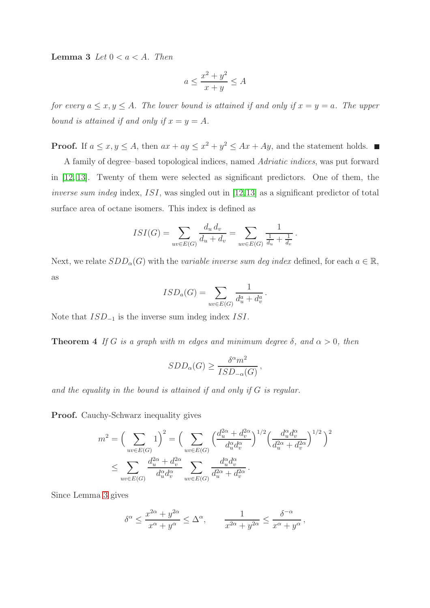**Lemma 3** Let  $0 < a < A$ . Then

$$
a \le \frac{x^2 + y^2}{x + y} \le A
$$

for every  $a \le x, y \le A$ . The lower bound is attained if and only if  $x = y = a$ . The upper bound is attained if and only if  $x = y = A$ .

**Proof.** If  $a \le x, y \le A$ , then  $ax + ay \le x^2 + y^2 \le Ax + Ay$ , and the statement holds.

A family of degree–based topological indices, named Adriatic indices, was put forward in [\[12,](#page-14-9) [13\]](#page-14-10). Twenty of them were selected as significant predictors. One of them, the inverse sum indeg index, ISI, was singled out in [\[12,](#page-14-9)[13\]](#page-14-10) as a significant predictor of total surface area of octane isomers. This index is defined as

$$
ISI(G) = \sum_{uv \in E(G)} \frac{d_u d_v}{d_u + d_v} = \sum_{uv \in E(G)} \frac{1}{\frac{1}{d_u} + \frac{1}{d_v}}.
$$

Next, we relate  $SDD_{\alpha}(G)$  with the *variable inverse sum deg index* defined, for each  $a \in \mathbb{R}$ , as

$$
ISD_a(G) = \sum_{uv \in E(G)} \frac{1}{d_u^a + d_v^a}.
$$

Note that  $ISD_{-1}$  is the inverse sum indeg index ISI.

**Theorem 4** If G is a graph with m edges and minimum degree  $\delta$ , and  $\alpha > 0$ , then

$$
SDD_{\alpha}(G) \ge \frac{\delta^{\alpha}m^2}{ISD_{-\alpha}(G)},
$$

and the equality in the bound is attained if and only if G is regular.

Proof. Cauchy-Schwarz inequality gives

$$
m^2 = \left(\sum_{uv \in E(G)} 1\right)^2 = \left(\sum_{uv \in E(G)} \left(\frac{d_u^{2\alpha} + d_v^{2\alpha}}{d_u^{\alpha} d_v^{\alpha}}\right)^{1/2} \left(\frac{d_u^{\alpha} d_v^{\alpha}}{d_u^{2\alpha} + d_v^{2\alpha}}\right)^{1/2}\right)^2
$$

$$
\leq \sum_{uv \in E(G)} \frac{d_u^{2\alpha} + d_v^{2\alpha}}{d_u^{\alpha} d_v^{\alpha}} \sum_{uv \in E(G)} \frac{d_u^{\alpha} d_v^{\alpha}}{d_u^{2\alpha} + d_v^{2\alpha}}.
$$

Since Lemma [3](#page-3-0) gives

$$
\delta^{\alpha} \le \frac{x^{2\alpha} + y^{2\alpha}}{x^{\alpha} + y^{\alpha}} \le \Delta^{\alpha}, \qquad \frac{1}{x^{2\alpha} + y^{2\alpha}} \le \frac{\delta^{-\alpha}}{x^{\alpha} + y^{\alpha}},
$$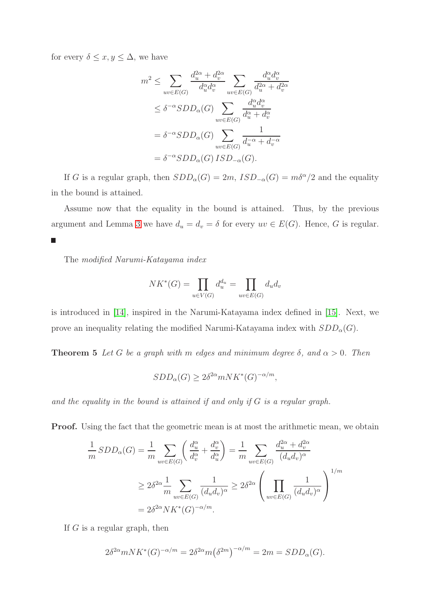for every  $\delta \leq x, y \leq \Delta$ , we have

$$
m^2 \leq \sum_{uv \in E(G)} \frac{d_u^{2\alpha} + d_v^{2\alpha}}{d_u^{\alpha} d_v^{\alpha}} \sum_{uv \in E(G)} \frac{d_u^{\alpha} d_v^{\alpha}}{d_u^{2\alpha} + d_v^{2\alpha}}
$$
  

$$
\leq \delta^{-\alpha} SDD_{\alpha}(G) \sum_{uv \in E(G)} \frac{d_u^{\alpha} d_v^{\alpha}}{d_u^{\alpha} + d_v^{\alpha}}
$$
  

$$
= \delta^{-\alpha} SDD_{\alpha}(G) \sum_{uv \in E(G)} \frac{1}{d_u^{-\alpha} + d_v^{-\alpha}}
$$
  

$$
= \delta^{-\alpha} SDD_{\alpha}(G) ISD_{-\alpha}(G).
$$

If G is a regular graph, then  $SDD_{\alpha}(G) = 2m$ ,  $ISD_{-\alpha}(G) = m\delta^{\alpha}/2$  and the equality in the bound is attained.

Assume now that the equality in the bound is attained. Thus, by the previous argument and Lemma [3](#page-3-0) we have  $d_u = d_v = \delta$  for every  $uv \in E(G)$ . Hence, G is regular. П

The modified Narumi-Katayama index

$$
NK^*(G) = \prod_{u \in V(G)} d_u^{d_u} = \prod_{uv \in E(G)} d_u d_v
$$

is introduced in [\[14\]](#page-15-0), inspired in the Narumi-Katayama index defined in [\[15\]](#page-15-1). Next, we prove an inequality relating the modified Narumi-Katayama index with  $SDD_{\alpha}(G)$ .

**Theorem 5** Let G be a graph with m edges and minimum degree  $\delta$ , and  $\alpha > 0$ . Then

$$
SDD_{\alpha}(G) \ge 2\delta^{2\alpha} mNK^*(G)^{-\alpha/m},
$$

and the equality in the bound is attained if and only if G is a regular graph.

**Proof.** Using the fact that the geometric mean is at most the arithmetic mean, we obtain

$$
\frac{1}{m} SDD_{\alpha}(G) = \frac{1}{m} \sum_{uv \in E(G)} \left( \frac{d_u^{\alpha}}{d_v^{\alpha}} + \frac{d_v^{\alpha}}{d_u^{\alpha}} \right) = \frac{1}{m} \sum_{uv \in E(G)} \frac{d_u^{2\alpha} + d_v^{2\alpha}}{(d_u d_v)^{\alpha}}
$$
\n
$$
\geq 2\delta^{2\alpha} \frac{1}{m} \sum_{uv \in E(G)} \frac{1}{(d_u d_v)^{\alpha}} \geq 2\delta^{2\alpha} \left( \prod_{uv \in E(G)} \frac{1}{(d_u d_v)^{\alpha}} \right)^{1/m}
$$
\n
$$
= 2\delta^{2\alpha} N K^*(G)^{-\alpha/m}.
$$

If  $G$  is a regular graph, then

$$
2\delta^{2\alpha} mNK^*(G)^{-\alpha/m} = 2\delta^{2\alpha} m(\delta^{2m})^{-\alpha/m} = 2m = SDD_{\alpha}(G).
$$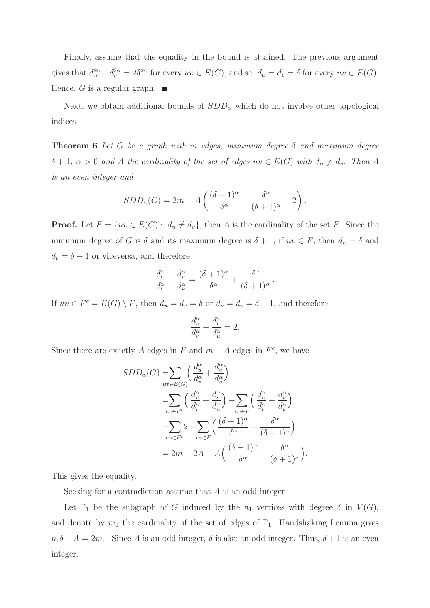Finally, assume that the equality in the bound is attained. The previous argument gives that  $d_u^{2\alpha} + d_v^{2\alpha} = 2\delta^{2\alpha}$  for every  $uv \in E(G)$ , and so,  $d_u = d_v = \delta$  for every  $uv \in E(G)$ . Hence, G is a regular graph.  $\blacksquare$ 

<span id="page-6-0"></span>Next, we obtain additional bounds of  $SDD_{\alpha}$  which do not involve other topological indices.

**Theorem 6** Let G be a graph with m edges, minimum degree  $\delta$  and maximum degree  $\delta + 1$ ,  $\alpha > 0$  and A the cardinality of the set of edges  $uv \in E(G)$  with  $d_u \neq d_v$ . Then A is an even integer and

$$
SDD_{\alpha}(G) = 2m + A\left(\frac{(\delta+1)^{\alpha}}{\delta^{\alpha}} + \frac{\delta^{\alpha}}{(\delta+1)^{\alpha}} - 2\right).
$$

**Proof.** Let  $F = \{uv \in E(G): d_u \neq d_v\}$ , then A is the cardinality of the set F. Since the minimum degree of G is  $\delta$  and its maximum degree is  $\delta + 1$ , if  $uv \in F$ , then  $d_u = \delta$  and  $d_v = \delta + 1$  or viceversa, and therefore

$$
\frac{d_u^{\alpha}}{d_v^{\alpha}} + \frac{d_v^{\alpha}}{d_u^{\alpha}} = \frac{(\delta + 1)^{\alpha}}{\delta^{\alpha}} + \frac{\delta^{\alpha}}{(\delta + 1)^{\alpha}}.
$$

If  $uv \in F^c = E(G) \setminus F$ , then  $d_u = d_v = \delta$  or  $d_u = d_v = \delta + 1$ , and therefore

$$
\frac{d_u^{\alpha}}{d_v^{\alpha}} + \frac{d_v^{\alpha}}{d_u^{\alpha}} = 2.
$$

Since there are exactly A edges in F and  $m - A$  edges in  $F<sup>c</sup>$ , we have

$$
SDD_{\alpha}(G) = \sum_{uv \in E(G)} \left( \frac{d_u^{\alpha}}{d_v^{\alpha}} + \frac{d_v^{\alpha}}{d_u^{\alpha}} \right)
$$
  
\n
$$
= \sum_{uv \in F^c} \left( \frac{d_u^{\alpha}}{d_v^{\alpha}} + \frac{d_v^{\alpha}}{d_u^{\alpha}} \right) + \sum_{uv \in F} \left( \frac{d_u^{\alpha}}{d_v^{\alpha}} + \frac{d_v^{\alpha}}{d_u^{\alpha}} \right)
$$
  
\n
$$
= \sum_{uv \in F^c} 2 + \sum_{uv \in F} \left( \frac{(\delta + 1)^{\alpha}}{\delta^{\alpha}} + \frac{\delta^{\alpha}}{(\delta + 1)^{\alpha}} \right)
$$
  
\n
$$
= 2m - 2A + A \left( \frac{(\delta + 1)^{\alpha}}{\delta^{\alpha}} + \frac{\delta^{\alpha}}{(\delta + 1)^{\alpha}} \right).
$$

This gives the equality.

Seeking for a contradiction assume that A is an odd integer.

Let  $\Gamma_1$  be the subgraph of G induced by the  $n_1$  vertices with degree  $\delta$  in  $V(G)$ , and denote by  $m_1$  the cardinality of the set of edges of  $\Gamma_1$ . Handshaking Lemma gives  $n_1\delta - A = 2m_1$ . Since A is an odd integer,  $\delta$  is also an odd integer. Thus,  $\delta + 1$  is an even integer.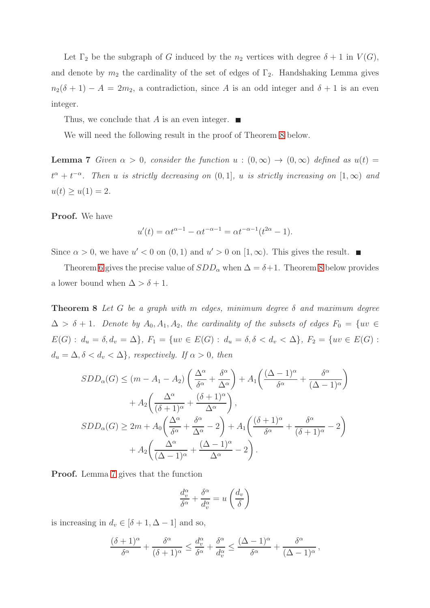Let  $\Gamma_2$  be the subgraph of G induced by the  $n_2$  vertices with degree  $\delta + 1$  in  $V(G)$ , and denote by  $m_2$  the cardinality of the set of edges of  $\Gamma_2$ . Handshaking Lemma gives  $n_2(\delta + 1) - A = 2m_2$ , a contradiction, since A is an odd integer and  $\delta + 1$  is an even integer.

Thus, we conclude that A is an even integer.  $\blacksquare$ 

<span id="page-7-1"></span>We will need the following result in the proof of Theorem [8](#page-7-0) below.

**Lemma 7** Given  $\alpha > 0$ , consider the function  $u : (0, \infty) \to (0, \infty)$  defined as  $u(t) =$  $t^{\alpha} + t^{-\alpha}$ . Then u is strictly decreasing on  $(0, 1]$ , u is strictly increasing on  $[1, \infty)$  and  $u(t) \ge u(1) = 2.$ 

Proof. We have

$$
u'(t) = \alpha t^{\alpha - 1} - \alpha t^{-\alpha - 1} = \alpha t^{-\alpha - 1} (t^{2\alpha} - 1).
$$

Since  $\alpha > 0$ , we have  $u' < 0$  on  $(0, 1)$  and  $u' > 0$  on  $[1, \infty)$ . This gives the result.

<span id="page-7-0"></span>Theorem [6](#page-6-0) gives the precise value of  $SDD_{\alpha}$  when  $\Delta = \delta + 1$ . Theorem [8](#page-7-0) below provides a lower bound when  $\Delta > \delta + 1$ .

**Theorem 8** Let G be a graph with m edges, minimum degree  $\delta$  and maximum degree  $\Delta > \delta + 1$ . Denote by  $A_0, A_1, A_2$ , the cardinality of the subsets of edges  $F_0 = \{uv \in$  $E(G)$ :  $d_u = \delta, d_v = \Delta\}$ ,  $F_1 = \{uv \in E(G) : d_u = \delta, \delta < d_v < \Delta\}$ ,  $F_2 = \{uv \in E(G) : d_v = \delta, d_v = \Delta\}$  $d_u = \Delta, \delta < d_v < \Delta\}$ , respectively. If  $\alpha > 0$ , then

$$
SDD_{\alpha}(G) \leq (m - A_{1} - A_{2}) \left( \frac{\Delta^{\alpha}}{\delta^{\alpha}} + \frac{\delta^{\alpha}}{\Delta^{\alpha}} \right) + A_{1} \left( \frac{(\Delta - 1)^{\alpha}}{\delta^{\alpha}} + \frac{\delta^{\alpha}}{(\Delta - 1)^{\alpha}} \right) + A_{2} \left( \frac{\Delta^{\alpha}}{(\delta + 1)^{\alpha}} + \frac{(\delta + 1)^{\alpha}}{\Delta^{\alpha}} \right),
$$
  

$$
SDD_{\alpha}(G) \geq 2m + A_{0} \left( \frac{\Delta^{\alpha}}{\delta^{\alpha}} + \frac{\delta^{\alpha}}{\Delta^{\alpha}} - 2 \right) + A_{1} \left( \frac{(\delta + 1)^{\alpha}}{\delta^{\alpha}} + \frac{\delta^{\alpha}}{(\delta + 1)^{\alpha}} - 2 \right) + A_{2} \left( \frac{\Delta^{\alpha}}{(\Delta - 1)^{\alpha}} + \frac{(\Delta - 1)^{\alpha}}{\Delta^{\alpha}} - 2 \right).
$$

Proof. Lemma [7](#page-7-1) gives that the function

$$
\frac{d_v^{\alpha}}{\delta^{\alpha}} + \frac{\delta^{\alpha}}{d_v^{\alpha}} = u\left(\frac{d_v}{\delta}\right)
$$

is increasing in  $d_v \in [\delta + 1, \Delta - 1]$  and so,

$$
\frac{(\delta+1)^{\alpha}}{\delta^{\alpha}} + \frac{\delta^{\alpha}}{(\delta+1)^{\alpha}} \le \frac{d_v^{\alpha}}{\delta^{\alpha}} + \frac{\delta^{\alpha}}{d_v^{\alpha}} \le \frac{(\Delta-1)^{\alpha}}{\delta^{\alpha}} + \frac{\delta^{\alpha}}{(\Delta-1)^{\alpha}},
$$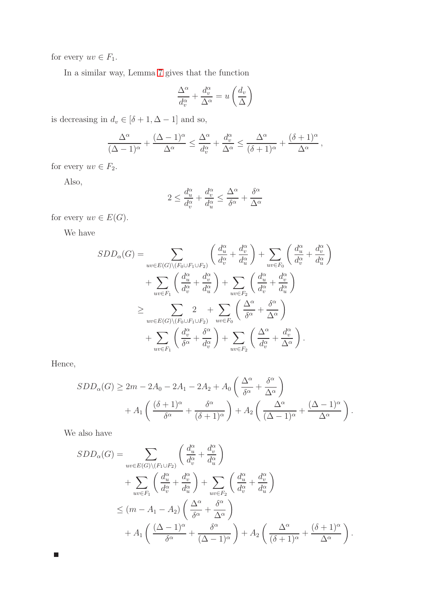for every  $uv \in F_1$ .

In a similar way, Lemma [7](#page-7-1) gives that the function

$$
\frac{\Delta^{\alpha}}{d_v^{\alpha}} + \frac{d_v^{\alpha}}{\Delta^{\alpha}} = u\left(\frac{d_v}{\Delta}\right)
$$

is decreasing in  $d_v \in [\delta+1, \Delta-1]$  and so,

$$
\frac{\Delta^{\alpha}}{(\Delta-1)^{\alpha}} + \frac{(\Delta-1)^{\alpha}}{\Delta^{\alpha}} \le \frac{\Delta^{\alpha}}{d_v^{\alpha}} + \frac{d_v^{\alpha}}{\Delta^{\alpha}} \le \frac{\Delta^{\alpha}}{(\delta+1)^{\alpha}} + \frac{(\delta+1)^{\alpha}}{\Delta^{\alpha}},
$$

for every  $uv \in F_2$ .

Also,

$$
2\leq \frac{d_u^\alpha}{d_v^\alpha}+\frac{d_v^\alpha}{d_u^\alpha}\leq \frac{\Delta^\alpha}{\delta^\alpha}+\frac{\delta^\alpha}{\Delta^\alpha}
$$

for every  $uv \in E(G)$ .

We have

$$
SDD_{\alpha}(G) = \sum_{uv \in E(G) \setminus (F_0 \cup F_1 \cup F_2)} \left( \frac{d_u^{\alpha}}{d_v^{\alpha}} + \frac{d_v^{\alpha}}{d_u^{\alpha}} \right) + \sum_{uv \in F_0} \left( \frac{d_u^{\alpha}}{d_v^{\alpha}} + \frac{d_v^{\alpha}}{d_u^{\alpha}} \right) + \sum_{uv \in F_1} \left( \frac{d_u^{\alpha}}{d_v^{\alpha}} + \frac{d_v^{\alpha}}{d_u^{\alpha}} \right) + \sum_{uv \in F_2} \left( \frac{d_u^{\alpha}}{d_v^{\alpha}} + \frac{d_v^{\alpha}}{d_u^{\alpha}} \right) + \sum_{uv \in E(G) \setminus (F_0 \cup F_1 \cup F_2)} \sum_{uv \in F_0} \left( \frac{\Delta^{\alpha}}{\delta^{\alpha}} + \frac{\delta^{\alpha}}{\Delta^{\alpha}} \right) + \sum_{uv \in F_1} \left( \frac{d_v^{\alpha}}{\delta^{\alpha}} + \frac{\delta^{\alpha}}{d_v^{\alpha}} \right) + \sum_{uv \in F_2} \left( \frac{\Delta^{\alpha}}{d_v^{\alpha}} + \frac{d_v^{\alpha}}{\Delta^{\alpha}} \right).
$$

Hence,

 $\Box$ 

$$
SDD_{\alpha}(G) \ge 2m - 2A_0 - 2A_1 - 2A_2 + A_0 \left(\frac{\Delta^{\alpha}}{\delta^{\alpha}} + \frac{\delta^{\alpha}}{\Delta^{\alpha}}\right) + A_1 \left(\frac{(\delta + 1)^{\alpha}}{\delta^{\alpha}} + \frac{\delta^{\alpha}}{(\delta + 1)^{\alpha}}\right) + A_2 \left(\frac{\Delta^{\alpha}}{(\Delta - 1)^{\alpha}} + \frac{(\Delta - 1)^{\alpha}}{\Delta^{\alpha}}\right).
$$

We also have

$$
SDD_{\alpha}(G) = \sum_{uv \in E(G) \setminus (F_1 \cup F_2)} \left( \frac{d_u^{\alpha}}{d_v^{\alpha}} + \frac{d_v^{\alpha}}{d_u^{\alpha}} \right)
$$
  
+ 
$$
\sum_{uv \in F_1} \left( \frac{d_u^{\alpha}}{d_v^{\alpha}} + \frac{d_v^{\alpha}}{d_u^{\alpha}} \right) + \sum_{uv \in F_2} \left( \frac{d_u^{\alpha}}{d_v^{\alpha}} + \frac{d_v^{\alpha}}{d_u^{\alpha}} \right)
$$
  

$$
\leq (m - A_1 - A_2) \left( \frac{\Delta^{\alpha}}{\delta^{\alpha}} + \frac{\delta^{\alpha}}{\Delta^{\alpha}} \right)
$$
  
+ 
$$
A_1 \left( \frac{(\Delta - 1)^{\alpha}}{\delta^{\alpha}} + \frac{\delta^{\alpha}}{(\Delta - 1)^{\alpha}} \right) + A_2 \left( \frac{\Delta^{\alpha}}{(\delta + 1)^{\alpha}} + \frac{(\delta + 1)^{\alpha}}{\Delta^{\alpha}} \right).
$$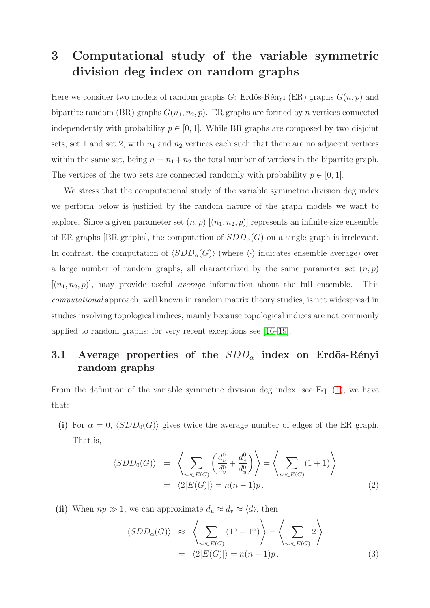### 3 Computational study of the variable symmetric division deg index on random graphs

Here we consider two models of random graphs G: Erdös-Rényi (ER) graphs  $G(n, p)$  and bipartite random (BR) graphs  $G(n_1, n_2, p)$ . ER graphs are formed by n vertices connected independently with probability  $p \in [0, 1]$ . While BR graphs are composed by two disjoint sets, set 1 and set 2, with  $n_1$  and  $n_2$  vertices each such that there are no adjacent vertices within the same set, being  $n = n_1 + n_2$  the total number of vertices in the bipartite graph. The vertices of the two sets are connected randomly with probability  $p \in [0, 1]$ .

We stress that the computational study of the variable symmetric division deg index we perform below is justified by the random nature of the graph models we want to explore. Since a given parameter set  $(n, p)$   $[(n_1, n_2, p)]$  represents an infinite-size ensemble of ER graphs [BR graphs], the computation of  $SDD_{\alpha}(G)$  on a single graph is irrelevant. In contrast, the computation of  $\langle SDD_{\alpha}(G) \rangle$  (where  $\langle \cdot \rangle$  indicates ensemble average) over a large number of random graphs, all characterized by the same parameter set  $(n, p)$  $[(n_1, n_2, p)]$ , may provide useful *average* information about the full ensemble. This computational approach, well known in random matrix theory studies, is not widespread in studies involving topological indices, mainly because topological indices are not commonly applied to random graphs; for very recent exceptions see [\[16](#page-15-2)[–19\]](#page-15-3).

#### 3.1 Average properties of the  $SDD_{\alpha}$  index on Erdös-Rényi random graphs

From the definition of the variable symmetric division deg index, see Eq. [\(1\)](#page-1-0), we have that:

(i) For  $\alpha = 0$ ,  $\langle SDD_0(G) \rangle$  gives twice the average number of edges of the ER graph. That is,

<span id="page-9-1"></span>
$$
\langle SDD_0(G) \rangle = \left\langle \sum_{uv \in E(G)} \left( \frac{d_u^0}{d_v^0} + \frac{d_v^0}{d_u^0} \right) \right\rangle = \left\langle \sum_{uv \in E(G)} (1+1) \right\rangle
$$
  
=  $\langle 2|E(G)| \rangle = n(n-1)p.$  (2)

(ii) When  $np \gg 1$ , we can approximate  $d_u \approx d_v \approx \langle d \rangle$ , then

<span id="page-9-0"></span>
$$
\langle SDD_{\alpha}(G) \rangle \approx \left\langle \sum_{uv \in E(G)} (1^{\alpha} + 1^{\alpha}) \right\rangle = \left\langle \sum_{uv \in E(G)} 2 \right\rangle
$$
  
=  $\langle 2|E(G)| \rangle = n(n-1)p.$  (3)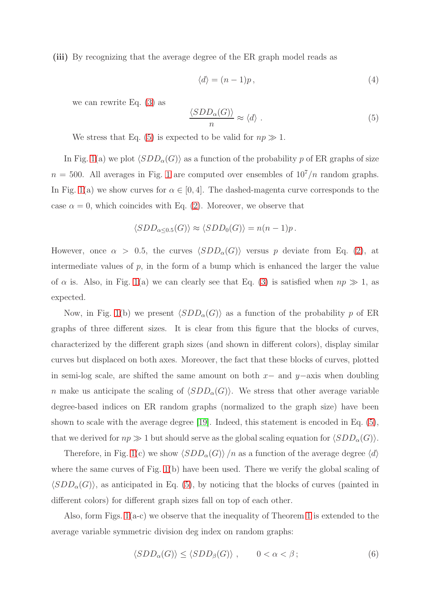(iii) By recognizing that the average degree of the ER graph model reads as

$$
\langle d \rangle = (n-1)p \,, \tag{4}
$$

we can rewrite Eq. [\(3\)](#page-9-0) as

<span id="page-10-0"></span>
$$
\frac{\langle SDD_{\alpha}(G)\rangle}{n} \approx \langle d\rangle \ . \tag{5}
$$

We stress that Eq. [\(5\)](#page-10-0) is expected to be valid for  $np \gg 1$ .

In Fig. [1\(](#page-11-0)a) we plot  $\langle SDD_{\alpha}(G) \rangle$  as a function of the probability p of ER graphs of size  $n = 500$ . All averages in Fig. [1](#page-11-0) are computed over ensembles of  $10^7/n$  random graphs. In Fig. [1\(](#page-11-0)a) we show curves for  $\alpha \in [0, 4]$ . The dashed-magenta curve corresponds to the case  $\alpha = 0$ , which coincides with Eq. [\(2\)](#page-9-1). Moreover, we observe that

$$
\langle SDD_{\alpha \leq 0.5}(G) \rangle \approx \langle SDD_0(G) \rangle = n(n-1)p.
$$

However, once  $\alpha > 0.5$ , the curves  $\langle SDD_{\alpha}(G) \rangle$  versus p deviate from Eq. [\(2\)](#page-9-1), at intermediate values of  $p$ , in the form of a bump which is enhanced the larger the value of  $\alpha$  is. Also, in Fig. [1\(](#page-11-0)a) we can clearly see that Eq. [\(3\)](#page-9-0) is satisfied when  $np \gg 1$ , as expected.

Now, in Fig. [1\(](#page-11-0)b) we present  $\langle SDD_{\alpha}(G) \rangle$  as a function of the probability p of ER graphs of three different sizes. It is clear from this figure that the blocks of curves, characterized by the different graph sizes (and shown in different colors), display similar curves but displaced on both axes. Moreover, the fact that these blocks of curves, plotted in semi-log scale, are shifted the same amount on both  $x-$  and  $y-$ axis when doubling n make us anticipate the scaling of  $\langle SDD_{\alpha}(G) \rangle$ . We stress that other average variable degree-based indices on ER random graphs (normalized to the graph size) have been shown to scale with the average degree [\[19\]](#page-15-3). Indeed, this statement is encoded in Eq. [\(5\)](#page-10-0), that we derived for  $np \gg 1$  but should serve as the global scaling equation for  $\langle SDD_{\alpha}(G) \rangle$ .

Therefore, in Fig. [1\(](#page-11-0)c) we show  $\langle SDD_{\alpha}(G)\rangle /n$  as a function of the average degree  $\langle d \rangle$ where the same curves of Fig. [1\(](#page-11-0)b) have been used. There we verify the global scaling of  $\langle SDD_{\alpha}(G) \rangle$ , as anticipated in Eq. [\(5\)](#page-10-0), by noticing that the blocks of curves (painted in different colors) for different graph sizes fall on top of each other.

Also, form Figs. [1\(](#page-11-0)a-c) we observe that the inequality of Theorem [1](#page-2-0) is extended to the average variable symmetric division deg index on random graphs:

<span id="page-10-1"></span>
$$
\langle SDD_{\alpha}(G) \rangle \le \langle SDD_{\beta}(G) \rangle , \qquad 0 < \alpha < \beta ; \tag{6}
$$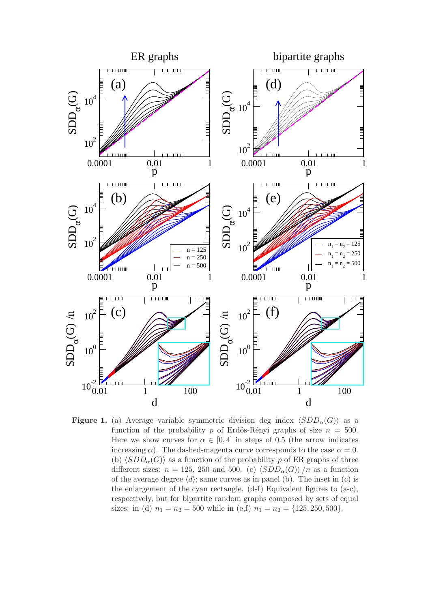<span id="page-11-0"></span>

Figure 1. (a) Average variable symmetric division deg index  $\langle SDD_{\alpha}(G) \rangle$  as a function of the probability p of Erdös-Rényi graphs of size  $n = 500$ . Here we show curves for  $\alpha \in [0, 4]$  in steps of 0.5 (the arrow indicates increasing  $\alpha$ ). The dashed-magenta curve corresponds to the case  $\alpha = 0$ . (b)  $\langle SDD_{\alpha}(G) \rangle$  as a function of the probability p of ER graphs of three different sizes:  $n = 125$ , 250 and 500. (c)  $\langle SDD_{\alpha}(G) \rangle /n$  as a function of the average degree  $\langle d \rangle$ ; same curves as in panel (b). The inset in (c) is the enlargement of the cyan rectangle. (d-f) Equivalent figures to (a-c), respectively, but for bipartite random graphs composed by sets of equal sizes: in (d)  $n_1 = n_2 = 500$  while in (e,f)  $n_1 = n_2 = \{125, 250, 500\}.$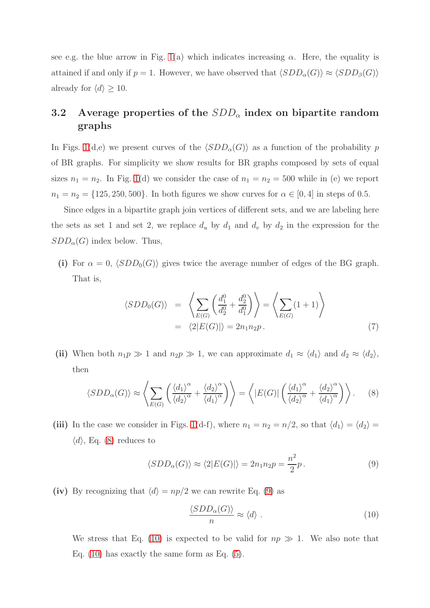see e.g. the blue arrow in Fig. [1\(](#page-11-0)a) which indicates increasing  $\alpha$ . Here, the equality is attained if and only if  $p = 1$ . However, we have observed that  $\langle SDD_{\alpha}(G) \rangle \approx \langle SDD_{\beta}(G) \rangle$ already for  $\langle d \rangle \geq 10$ .

#### 3.2 Average properties of the  $SDD_{\alpha}$  index on bipartite random graphs

In Figs. [1\(](#page-11-0)d,e) we present curves of the  $\langle SDD_{\alpha}(G)\rangle$  as a function of the probability p of BR graphs. For simplicity we show results for BR graphs composed by sets of equal sizes  $n_1 = n_2$ . In Fig. [1\(](#page-11-0)d) we consider the case of  $n_1 = n_2 = 500$  while in (e) we report  $n_1 = n_2 = \{125, 250, 500\}$ . In both figures we show curves for  $\alpha \in [0, 4]$  in steps of 0.5.

Since edges in a bipartite graph join vertices of different sets, and we are labeling here the sets as set 1 and set 2, we replace  $d_u$  by  $d_1$  and  $d_v$  by  $d_2$  in the expression for the  $SDD_{\alpha}(G)$  index below. Thus,

(i) For  $\alpha = 0$ ,  $\langle SDD_0(G) \rangle$  gives twice the average number of edges of the BG graph. That is,

<span id="page-12-3"></span>
$$
\langle SDD_0(G) \rangle = \left\langle \sum_{E(G)} \left( \frac{d_1^0}{d_2^0} + \frac{d_2^0}{d_1^0} \right) \right\rangle = \left\langle \sum_{E(G)} (1+1) \right\rangle
$$
  
=  $\langle 2|E(G)| \rangle = 2n_1n_2p.$  (7)

(ii) When both  $n_1p \gg 1$  and  $n_2p \gg 1$ , we can approximate  $d_1 \approx \langle d_1 \rangle$  and  $d_2 \approx \langle d_2 \rangle$ , then

<span id="page-12-0"></span>
$$
\langle SDD_{\alpha}(G) \rangle \approx \left\langle \sum_{E(G)} \left( \frac{\langle d_1 \rangle^{\alpha}}{\langle d_2 \rangle^{\alpha}} + \frac{\langle d_2 \rangle^{\alpha}}{\langle d_1 \rangle^{\alpha}} \right) \right\rangle = \left\langle |E(G)| \left( \frac{\langle d_1 \rangle^{\alpha}}{\langle d_2 \rangle^{\alpha}} + \frac{\langle d_2 \rangle^{\alpha}}{\langle d_1 \rangle^{\alpha}} \right) \right\rangle. \tag{8}
$$

(iii) In the case we consider in Figs. [1\(](#page-11-0)d-f), where  $n_1 = n_2 = n/2$ , so that  $\langle d_1 \rangle = \langle d_2 \rangle =$  $\langle d \rangle$ , Eq. [\(8\)](#page-12-0) reduces to

<span id="page-12-1"></span>
$$
\langle SDD_{\alpha}(G) \rangle \approx \langle 2|E(G)| \rangle = 2n_1n_2p = \frac{n^2}{2}p. \tag{9}
$$

(iv) By recognizing that  $\langle d \rangle = np/2$  we can rewrite Eq. [\(9\)](#page-12-1) as

<span id="page-12-2"></span>
$$
\frac{\langle SDD_{\alpha}(G)\rangle}{n} \approx \langle d\rangle \ . \tag{10}
$$

We stress that Eq. [\(10\)](#page-12-2) is expected to be valid for  $np \gg 1$ . We also note that Eq.  $(10)$  has exactly the same form as Eq.  $(5)$ .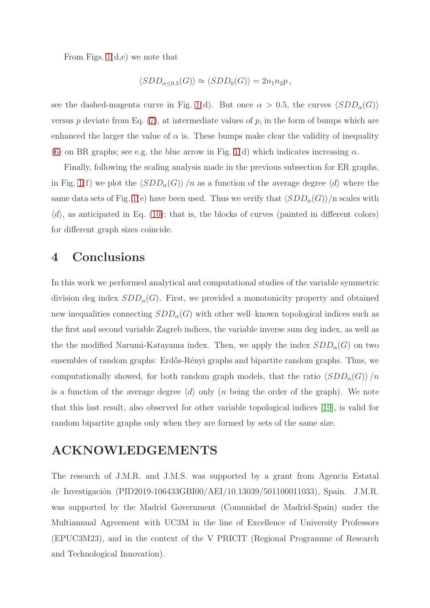From Figs. [1\(](#page-11-0)d,e) we note that

$$
\langle SDD_{\alpha \leq 0.5}(G) \rangle \approx \langle SDD_0(G) \rangle = 2n_1n_2p,
$$

see the dashed-magenta curve in Fig. [1\(](#page-11-0)d). But once  $\alpha > 0.5$ , the curves  $\langle SDD_{\alpha}(G) \rangle$ versus  $p$  deviate from Eq. [\(7\)](#page-12-3), at intermediate values of  $p$ , in the form of bumps which are enhanced the larger the value of  $\alpha$  is. These bumps make clear the validity of inequality [\(6\)](#page-10-1) on BR graphs; see e.g. the blue arrow in Fig. [1\(](#page-11-0)d) which indicates increasing  $\alpha$ .

Finally, following the scaling analysis made in the previous subsection for ER graphs, in Fig. [1\(](#page-11-0)f) we plot the  $\langle SDD_{\alpha}(G)\rangle /n$  as a function of the average degree  $\langle d \rangle$  where the same data sets of Fig. [1\(](#page-11-0)e) have been used. Thus we verify that  $\langle SDD_{\alpha}(G)\rangle$  n scales with  $\langle d \rangle$ , as anticipated in Eq. [\(10\)](#page-12-2); that is, the blocks of curves (painted in different colors) for different graph sizes coincide.

#### 4 Conclusions

In this work we performed analytical and computational studies of the variable symmetric division deg index  $SDD_{\alpha}(G)$ . First, we provided a monotonicity property and obtained new inequalities connecting  $SDD_{\alpha}(G)$  with other well–known topological indices such as the first and second variable Zagreb indices, the variable inverse sum deg index, as well as the the modified Narumi-Katayama index. Then, we apply the index  $SDD_{\alpha}(G)$  on two ensembles of random graphs: Erdős-Rényi graphs and bipartite random graphs. Thus, we computationally showed, for both random graph models, that the ratio  $\langle SDD_{\alpha}(G) \rangle /n$ is a function of the average degree  $\langle d \rangle$  only (*n* being the order of the graph). We note that this last result, also observed for other variable topological indices [\[19\]](#page-15-3), is valid for random bipartite graphs only when they are formed by sets of the same size.

#### ACKNOWLEDGEMENTS

The research of J.M.R. and J.M.S. was supported by a grant from Agencia Estatal de Investigación (PID2019-106433GBI00/AEI/10.13039/501100011033), Spain. J.M.R. was supported by the Madrid Government (Comunidad de Madrid-Spain) under the Multiannual Agreement with UC3M in the line of Excellence of University Professors (EPUC3M23), and in the context of the V PRICIT (Regional Programme of Research and Technological Innovation).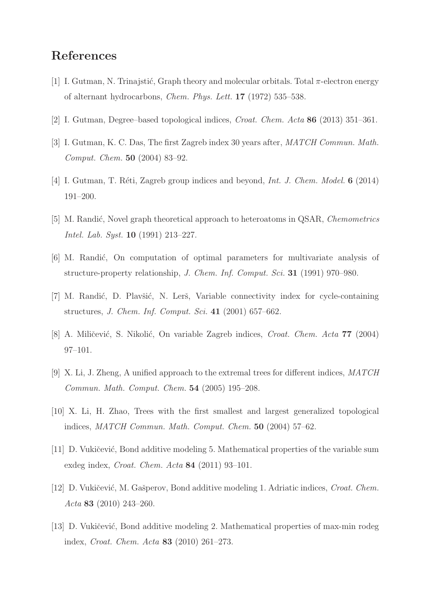#### <span id="page-14-0"></span>References

- <span id="page-14-1"></span>[1] I. Gutman, N. Trinajstić, Graph theory and molecular orbitals. Total  $\pi$ -electron energy of alternant hydrocarbons, Chem. Phys. Lett. 17 (1972) 535–538.
- [2] I. Gutman, Degree–based topological indices, Croat. Chem. Acta 86 (2013) 351–361.
- <span id="page-14-2"></span>[3] I. Gutman, K. C. Das, The first Zagreb index 30 years after, MATCH Commun. Math. Comput. Chem. 50 (2004) 83–92.
- <span id="page-14-3"></span>[4] I. Gutman, T. Réti, Zagreb group indices and beyond, Int. J. Chem. Model.  $6$  (2014) 191–200.
- <span id="page-14-4"></span>[5] M. Randić, Novel graph theoretical approach to heteroatoms in QSAR, Chemometrics Intel. Lab. Syst. 10 (1991) 213–227.
- <span id="page-14-5"></span>[6] M. Randić, On computation of optimal parameters for multivariate analysis of structure-property relationship, J. Chem. Inf. Comput. Sci. 31 (1991) 970–980.
- <span id="page-14-6"></span>[7] M. Randić, D. Plavšić, N. Lerš, Variable connectivity index for cycle-containing structures, J. Chem. Inf. Comput. Sci. 41 (2001) 657–662.
- [8] A. Miličević, S. Nikolić, On variable Zagreb indices, *Croat. Chem. Acta* 77 (2004) 97–101.
- <span id="page-14-7"></span>[9] X. Li, J. Zheng, A unified approach to the extremal trees for different indices, MATCH Commun. Math. Comput. Chem. 54 (2005) 195–208.
- <span id="page-14-8"></span>[10] X. Li, H. Zhao, Trees with the first smallest and largest generalized topological indices, MATCH Commun. Math. Comput. Chem. 50 (2004) 57–62.
- <span id="page-14-9"></span>[11] D. Vukičević, Bond additive modeling 5. Mathematical properties of the variable sum exdeg index, Croat. Chem. Acta 84 (2011) 93–101.
- <span id="page-14-10"></span>[12] D. Vukičević, M. Gašperov, Bond additive modeling 1. Adriatic indices, Croat. Chem. Acta 83 (2010) 243–260.
- [13] D. Vukičević, Bond additive modeling 2. Mathematical properties of max-min rodeg index, Croat. Chem. Acta 83 (2010) 261–273.